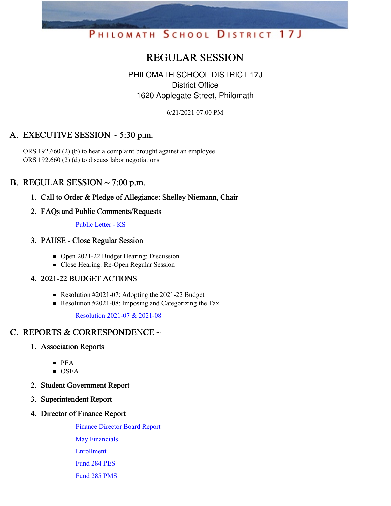# PHILOMATH SCHOOL DISTRICT 17J

# REGULAR SESSION

### PHILOMATH SCHOOL DISTRICT 17J District Office 1620 Applegate Street, Philomath

6/21/2021 07:00 PM

## A. EXECUTIVE SESSION  $\sim$  5:30 p.m.

ORS 192.660 (2) (b) to hear a complaint brought against an employee ORS 192.660 (2) (d) to discuss labor negotiations

### B. REGULAR SESSION  $\sim$  7:00 p.m.

1. Call to Order & Pledge of Allegiance: Shelley Niemann, Chair

#### 2. FAQs and Public Comments/Requests

#### [Public](https://app.eduportal.com/documents/view/798478) Letter - KS

#### 3. PAUSE - Close Regular Session

- Open 2021-22 Budget Hearing: Discussion
- Close Hearing: Re-Open Regular Session

#### 4. 2021-22 BUDGET ACTIONS

- Resolution #2021-07: Adopting the 2021-22 Budget
- Resolution #2021-08: Imposing and Categorizing the Tax

[Resolution](https://app.eduportal.com/documents/view/798477) 2021-07 & 2021-08

# C. REPORTS & CORRESPONDENCE ~

- 1. Association Reports
	- PEA
	- OSEA
- 2. Student Government Report
- 3. Superintendent Report
- 4. Director of Finance Report

Finance [Director](https://app.eduportal.com/documents/view/798474) Board Report

May [Financials](https://app.eduportal.com/documents/view/798479)

[Enrollment](https://app.eduportal.com/documents/view/798469)

[Fund](https://app.eduportal.com/documents/view/798472) 284 PES

[Fund](https://app.eduportal.com/documents/view/798470) 285 PMS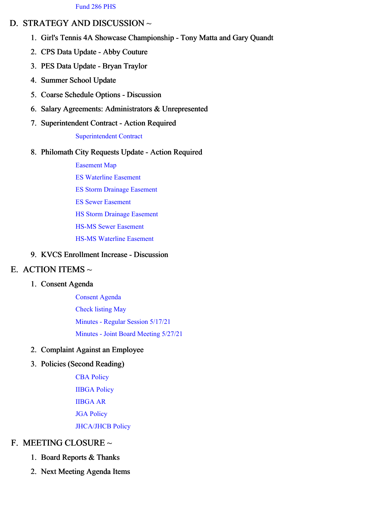#### D. STRATEGY AND DISCUSSION ~

- 1. Girl's Tennis 4A Showcase Championship Tony Matta and Gary Quandt
- 2. CPS Data Update Abby Couture
- 3. PES Data Update Bryan Traylor
- 4. Summer School Update
- 5. Coarse Schedule Options Discussion
- 6. Salary Agreements: Administrators & Unrepresented
- 7. Superintendent Contract Action Required

[Superintendent](https://app.eduportal.com/documents/view/798507) Contract

#### 8. Philomath City Requests Update - Action Required

[Easement](https://app.eduportal.com/documents/view/798491) Map

- ES [Waterline](https://app.eduportal.com/documents/view/798490) Easement
- ES Storm Drainage [Easement](https://app.eduportal.com/documents/view/798489)
- ES Sewer [Easement](https://app.eduportal.com/documents/view/798488)
- HS Storm Drainage [Easement](https://app.eduportal.com/documents/view/798492)
- HS-MS Sewer [Easement](https://app.eduportal.com/documents/view/798494)
- HS-MS [Waterline](https://app.eduportal.com/documents/view/798493) Easement

#### 9. KVCS Enrollment Increase - Discussion

#### E. ACTION ITEMS  $\sim$

#### 1. Consent Agenda

[Consent](https://app.eduportal.com/documents/view/798531) Agenda [Check](https://app.eduportal.com/documents/view/798473) listing May [Minutes](https://app.eduportal.com/documents/view/798476) - Regular Session 5/17/21 Minutes - Joint Board [Meeting](https://app.eduportal.com/documents/view/798475) 5/27/21

#### 2. Complaint Against an Employee

#### 3. Policies (Second Reading)

CBA [Policy](https://app.eduportal.com/documents/view/798495) [IIBGA](https://app.eduportal.com/documents/view/798497) Policy [IIBGA](https://app.eduportal.com/documents/view/798482) AR JGA [Policy](https://app.eduportal.com/documents/view/798483) [JHCA/JHCB](https://app.eduportal.com/documents/view/798481) Policy

#### F. MEETING CLOSURE ~

- 1. Board Reports & Thanks
- 2. Next Meeting Agenda Items